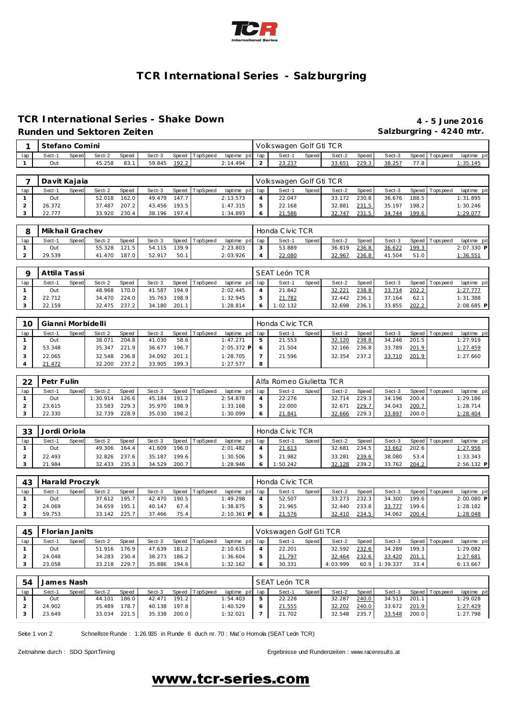

# **TCR International Series - Salzburgring**

### **TCR International Series - Shake Down 4 - 5 June 2016 Runden und Sektoren Zeiten Salzburgring - 4240 mtr.**

|     | Stefano Comini |                    |        |       |        |       |                |                 | Volkswagen Golf Gti TCR |       |        |       |        |      |                   |             |
|-----|----------------|--------------------|--------|-------|--------|-------|----------------|-----------------|-------------------------|-------|--------|-------|--------|------|-------------------|-------------|
| lac | Sect-1         | Speed <sup>1</sup> | Sect-2 | Speed | Sect-3 |       | Speed TopSpeed | laptime pit lap | Sect-1                  | Speed | Sect-2 | Speed | Sect-3 |      | Speed   Tops peed | laptime pit |
|     | Out            |                    | 45.258 | 83.   | 59.845 | 192.2 |                | 2:14.494        | 22.22<br>20.20          |       | 33.651 | 229.3 | 38.257 | 77.8 |                   | :35.145     |

|     | Davit Kajaja |              |        |       |        |       |                |                 | Volkswagen Golf Gti TCR |       |        |       |        |       |                   |             |
|-----|--------------|--------------|--------|-------|--------|-------|----------------|-----------------|-------------------------|-------|--------|-------|--------|-------|-------------------|-------------|
| lap | Sect-1       | <b>Speed</b> | Sect-2 | Speed | Sect-3 |       | Speed TopSpeed | laptime pit lap | Sect-1                  | Speed | Sect-2 | Speed | Sect-3 |       | Speed   Tops peed | laptime pit |
|     | Out          |              | 52.018 | 162.0 | 49.479 | 147.7 |                | 2:13.573        | 22.047                  |       | 33.172 | 230.8 | 36.676 | 188.5 |                   | 1:31.895    |
|     | 26.372       |              | 37.487 | 207.2 | 43.456 | 193.5 |                | 1:47.315        | 22.168                  |       | 32.881 | 231.5 | 35.197 | 198.2 |                   | 1:30.246    |
|     | 22.777       |              | 33.920 | 230.4 | 38.196 | 197.4 |                | 1:34.893        | 21.586                  |       | 32.747 | 231.5 | 34.744 | 199.6 |                   | 1:29.077    |

|     | Mikhail Grachev |              |        |       |        |       |          |                 | Honda Civic TCR |              |        |       |        |                    |                |             |
|-----|-----------------|--------------|--------|-------|--------|-------|----------|-----------------|-----------------|--------------|--------|-------|--------|--------------------|----------------|-------------|
| lap | Sect-1          | <b>Speed</b> | Sect-2 | Speed | Sect-3 | Speed | TopSpeed | laptime pit lap | Sect-1          | <b>Speed</b> | Sect-2 | Speed | Sect-3 |                    | Speed Topspeed | laptime pit |
|     | Out             |              | 55.328 | 121.5 | 54.115 | 139.9 |          | 2:23.803        | 53.889          |              | 36.819 | 236.8 | 36.622 | 199.3 <sub>1</sub> |                | 2:07.330 P  |
|     | 29.539          |              | 41.470 | 187.0 | 52.917 | 50.1  |          | 2:03.926        | 22.080          |              | 32.967 | 236.8 | 41.504 | 51.0               |                | 1:36.551    |

|     | Attila Tassi |              |              |              |        |       |                |                 | SEAT León TCR |              |        |         |        |       |                |             |
|-----|--------------|--------------|--------------|--------------|--------|-------|----------------|-----------------|---------------|--------------|--------|---------|--------|-------|----------------|-------------|
| lap | Sect-1       | <b>Speed</b> | Sect-2       | <b>Speed</b> | Sect-3 |       | Speed TopSpeed | laptime pit lap | Sect-1        | <b>Speed</b> | Sect-2 | Speed I | Sect-3 |       | Speed Topspeed | laptime pit |
|     | Out          |              | 48.968       | 170.0        | 41.587 | 194.9 |                | 2:02.445        | 21.842        |              | 32.221 | 238.8   | 33.714 | 202.2 |                | 1:27.777    |
|     | 22.712       |              | 34.470       | 224.0        | 35.763 | 198.9 |                | 1:32.945        | 21.782        |              | 32.442 | 236.1   | 37.164 | 62.1  |                | 1:31.388    |
|     | 22.159       |              | 32.475 237.2 |              | 34.180 | 201.1 |                | 1:28.814        | 1:02.132      |              | 32.698 | 236.1   | 33.855 | 202.2 |                | 2:08.685 P  |

| 10  | Gianni Morbidelli |       |        |       |        |       |                |                 |   | Honda Civic TCR |       |        |       |        |       |                 |             |
|-----|-------------------|-------|--------|-------|--------|-------|----------------|-----------------|---|-----------------|-------|--------|-------|--------|-------|-----------------|-------------|
| lap | Sect-′            | Speed | Sect-2 | Speed | Sect-3 |       | Speed TopSpeed | laptime pit lap |   | Sect-1          | Speed | Sect-2 | Speed | Sect-3 |       | Speed Tops peed | laptime pit |
|     | Out               |       | 38.071 | 204.8 | 41.030 | 58.6  |                | 1:47.271        |   | 21.553          |       | 32.120 | 238.8 | 34.246 | 201.5 |                 | 1:27.919    |
|     | 53.348            |       | 35.347 | 221.9 | 36.677 | 196.7 |                | $2:05.372$ P    |   | 21.504          |       | 32.166 | 236.8 | 33.789 | 201.9 |                 | 1:27.459    |
|     | 22.065            |       | 32.548 | 236.8 | 34.092 | 201.1 |                | 1:28.705        |   | 21.596          |       | 32.354 | 237.2 | 33.710 | 201.9 |                 | 1:27.660    |
|     | 21.472            |       | 32.200 | 237.2 | 33.905 | 199.3 |                | 1:27.577        | 8 |                 |       |        |       |        |       |                 |             |

| າາ  | Petr Fulin |       |          |              |        |       |                |                 | Alfa Romeo Giulietta TCR |       |        |       |        |       |                   |             |
|-----|------------|-------|----------|--------------|--------|-------|----------------|-----------------|--------------------------|-------|--------|-------|--------|-------|-------------------|-------------|
| lap | Sect-1     | Speed | Sect-2   | <b>Speed</b> | Sect-3 |       | Speed TopSpeed | laptime pit lap | Sect-                    | Speed | Sect-2 | Speed | Sect-3 |       | Speed   Tops peed | laptime pit |
|     | Out        |       | 1:30.914 | 126.6        | 45.184 | 191.2 |                | 2:54.878        | 22.276                   |       | 32.714 | 229.3 | 34.196 | 200.4 |                   | 1:29.186    |
|     | 23.615     |       | 33.583   | 229.3        | 35.970 | 198.9 |                | 1:33.168        | 22.000                   |       | 32.671 | 229.7 | 34.043 | 200.7 |                   | 1:28.714    |
|     | 22.330     |       | 32.739   | 228.9        | 35.030 | 198.2 |                | 1:30.099        | 21.841                   |       | 32.666 | 229.3 | 33.897 | 200.0 |                   | 1:28.404    |

| 33  | Jordi Oriola |       |        |       |        |       |          |                 | Honda Civic TCR |              |        |       |        |       |                 |              |
|-----|--------------|-------|--------|-------|--------|-------|----------|-----------------|-----------------|--------------|--------|-------|--------|-------|-----------------|--------------|
| lap | Sect-1       | Speed | Sect-2 | Speed | Sect-3 | Speed | TopSpeed | laptime pit lap | Sect-1          | <b>Speed</b> | Sect-2 | Speed | Sect-3 |       | Speed Tops peed | laptime pit  |
|     | Out          |       | 49.306 | 164.4 | 41.609 | 196.0 |          | 2:01.482        | 21.613          |              | 32.681 | 234.5 | 33.662 | 202.6 |                 | 1:27.956     |
|     | 22.493       |       | 32.826 | 237.6 | 35.187 | 199.6 |          | 1:30.506        | 21.982          |              | 33.281 | 239.6 | 38.080 | 53.4  |                 | 1:33.343     |
|     | 21.984       |       | 32.433 | 235.3 | 34.529 | 200.7 |          | 1:28.946        | 1:50.242        |              | 32.128 | 239.2 | 33.762 | 204.2 |                 | $2:56.132$ P |

| 43  | Harald Proczyk |              |        |       |        |       |                |                 |   | Honda Civic TCR |       |        |       |        |       |                   |                 |
|-----|----------------|--------------|--------|-------|--------|-------|----------------|-----------------|---|-----------------|-------|--------|-------|--------|-------|-------------------|-----------------|
| lap | Sect-1         | <b>Speed</b> | Sect-2 | Speed | Sect-3 |       | Speed TopSpeed | laptime pit lap |   | Sect-1          | Speed | Sect-2 | Speed | Sect-3 |       | Speed   Tops peed | laptime pit     |
|     | Out            |              | 37.612 | 195.7 | 42.470 | 190.5 |                | 1:49.298        | ≖ | 52.507          |       | 33.273 | 232.3 | 34.300 | 199.6 |                   | $2:00.080$ P    |
|     | 24.069         |              | 34.659 | 195.1 | 40.147 | 67.4  |                | 1:38.875        |   | 21.965          |       | 32.440 | 233.8 | 33.777 | 199.6 |                   | 1:28.182        |
|     | 59.753         |              | 33.142 | 225.7 | 37.466 | 75.4  |                | 2:10.361<br>P   |   | 21.576          |       | 32.410 | 234.5 | 34.062 | 200.4 |                   | <u>1:28.048</u> |

| 45  | Florian Janits |       |        |       |        |       |                |                 | Vokswagen Golf Gti TCR |       |          |       |          |       |                |             |
|-----|----------------|-------|--------|-------|--------|-------|----------------|-----------------|------------------------|-------|----------|-------|----------|-------|----------------|-------------|
| lap | Sect-1         | Speed | Sect-2 | Speed | Sect-3 |       | Speed TopSpeed | laptime pit lap | Sect-1                 | Speed | Sect-2   | Speed | Sect-3   |       | Speed Topspeed | laptime pit |
|     | Out            |       | 51.916 | 176.9 | 47.639 | 181.2 |                | 2:10.615        | 22.201                 |       | 32.592   | 232.6 | 34.289   | 199.3 |                | 1:29.082    |
|     | 24.048         |       | 34.283 | 230.4 | 38.273 | 186.2 |                | 1:36.604        | 21.797                 |       | 32.464   | 232.6 | 33.420   | 201.1 |                | 1:27.681    |
|     | 23.058         |       | 33.218 | 229.7 | 35.886 | 194.6 |                | 1:32.162        | 30.331                 |       | 4:03.999 | 60.9  | 1:39.337 | 33.4  |                | 6:13.667    |

| 54  | James Nash |              |              |       |        |       |                |                 | SEAT León TCR |         |        |       |        |       |                 |             |
|-----|------------|--------------|--------------|-------|--------|-------|----------------|-----------------|---------------|---------|--------|-------|--------|-------|-----------------|-------------|
| lap | Sect-1     | <b>Speed</b> | Sect-2       | Speed | Sect-3 |       | Speed TopSpeed | laptime pit lap | Sect-1        | Speed I | Sect-2 | Speed | Sect-3 |       | Speed Tops peed | laptime pit |
|     | Out        |              | 44.101       | 186.0 | 42.471 | 191.2 |                | 1:54.403        | 22.228        |         | 32.287 | 240.0 | 34.513 | 201.1 |                 | 1:29.028    |
|     | 24.902     |              | 35.489       | 178.7 | 40.138 | 197.8 |                | 1:40.529        | 21.555        |         | 32.202 | 240.0 | 33.672 | 201.9 |                 | 1:27.429    |
|     | 23.649     |              | 33.034 221.5 |       | 35.338 | 200.0 |                | 1:32.021        | 21.702        |         | 32.548 | 235.7 | 33.548 | 200.0 |                 | 1:27.798    |

Seite 1 von 2 Schnellste Runde : 1:26.935 in Runde 6 duch nr. 70 : Mat´o Homola (SEAT León TCR)

Zeitnahme durch : SDO SportTiming Ergebnisse und Rundenzeiten : [www.raceresults.a](www.raceresults.at)t

# www.tcr-series.com